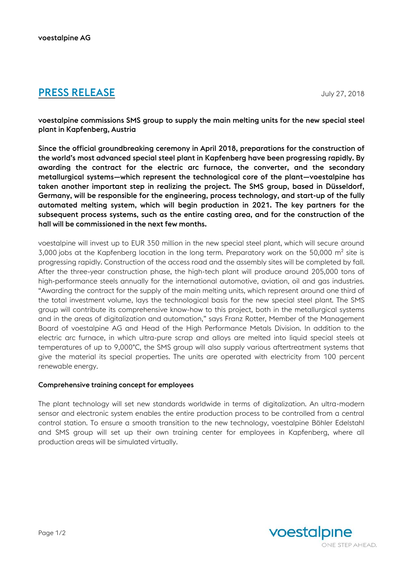# **PRESS RELEASE** July 27, 2018

voestalpine commissions SMS group to supply the main melting units for the new special steel plant in Kapfenberg, Austria

Since the official groundbreaking ceremony in April 2018, preparations for the construction of the world's most advanced special steel plant in Kapfenberg have been progressing rapidly. By awarding the contract for the electric arc furnace, the converter, and the secondary metallurgical systems—which represent the technological core of the plant—voestalpine has taken another important step in realizing the project. The SMS group, based in Düsseldorf, Germany, will be responsible for the engineering, process technology, and start-up of the fully automated melting system, which will begin production in 2021. The key partners for the subsequent process systems, such as the entire casting area, and for the construction of the hall will be commissioned in the next few months.

voestalpine will invest up to EUR 350 million in the new special steel plant, which will secure around 3,000 jobs at the Kapfenberg location in the long term. Preparatory work on the 50,000  $m<sup>2</sup>$  site is progressing rapidly. Construction of the access road and the assembly sites will be completed by fall. After the three-year construction phase, the high-tech plant will produce around 205,000 tons of high-performance steels annually for the international automotive, aviation, oil and gas industries. "Awarding the contract for the supply of the main melting units, which represent around one third of the total investment volume, lays the technological basis for the new special steel plant. The SMS group will contribute its comprehensive know-how to this project, both in the metallurgical systems and in the areas of digitalization and automation," says Franz Rotter, Member of the Management Board of voestalpine AG and Head of the High Performance Metals Division. In addition to the electric arc furnace, in which ultra-pure scrap and alloys are melted into liquid special steels at temperatures of up to 9,000°C, the SMS group will also supply various aftertreatment systems that give the material its special properties. The units are operated with electricity from 100 percent renewable energy.

### Comprehensive training concept for employees

The plant technology will set new standards worldwide in terms of digitalization. An ultra-modern sensor and electronic system enables the entire production process to be controlled from a central control station. To ensure a smooth transition to the new technology, voestalpine Böhler Edelstahl and SMS group will set up their own training center for employees in Kapfenberg, where all production areas will be simulated virtually.